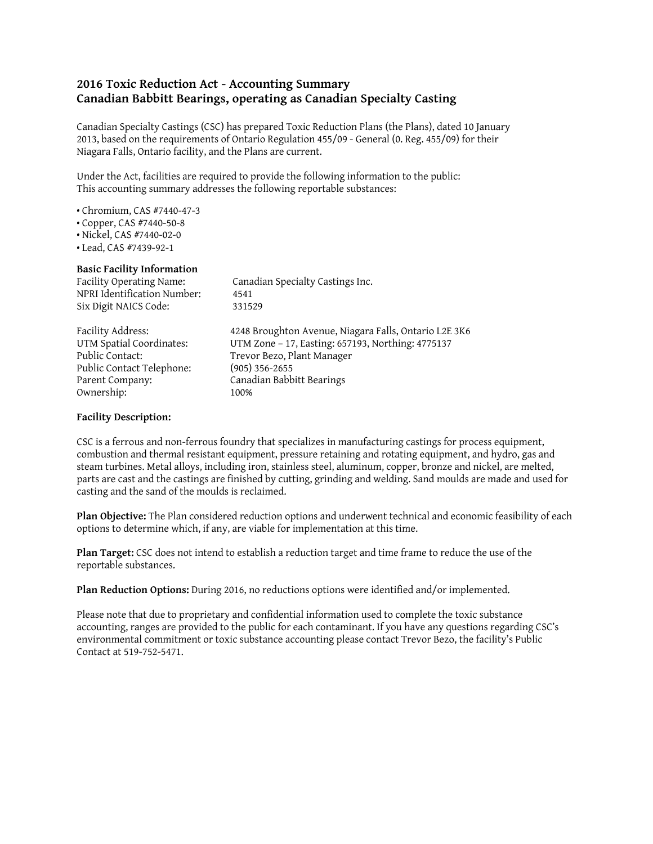## **2016 Toxic Reduction Act - Accounting Summary Canadian Babbitt Bearings, operating as Canadian Specialty Casting**

Canadian Specialty Castings (CSC) has prepared Toxic Reduction Plans (the Plans), dated 10 January 2013, based on the requirements of Ontario Regulation 455/09 - General (0. Reg. 455/09) for their Niagara Falls, Ontario facility, and the Plans are current.

Under the Act, facilities are required to provide the following information to the public: This accounting summary addresses the following reportable substances:

- Chromium, CAS #7440-47-3
- Copper, CAS #7440-50-8
- Nickel, CAS #7440-02-0
- Lead, CAS #7439-92-1

## **Basic Facility Information**

| Facility Operating Name:<br>NPRI Identification Number:<br>Six Digit NAICS Code: | Canadian Specialty Castings Inc.<br>4541<br>331529                                                         |
|----------------------------------------------------------------------------------|------------------------------------------------------------------------------------------------------------|
| Facility Address:<br>UTM Spatial Coordinates:                                    | 4248 Broughton Avenue, Niagara Falls, Ontario L2E 3K6<br>UTM Zone - 17, Easting: 657193, Northing: 4775137 |
| Public Contact:                                                                  | Trevor Bezo, Plant Manager                                                                                 |
| Public Contact Telephone:                                                        | $(905)$ 356-2655                                                                                           |
| Parent Company:                                                                  | Canadian Babbitt Bearings                                                                                  |
| Ownership:                                                                       | 100%                                                                                                       |

## **Facility Description:**

CSC is a ferrous and non-ferrous foundry that specializes in manufacturing castings for process equipment, combustion and thermal resistant equipment, pressure retaining and rotating equipment, and hydro, gas and steam turbines. Metal alloys, including iron, stainless steel, aluminum, copper, bronze and nickel, are melted, parts are cast and the castings are finished by cutting, grinding and welding. Sand moulds are made and used for casting and the sand of the moulds is reclaimed.

**Plan Objective:** The Plan considered reduction options and underwent technical and economic feasibility of each options to determine which, if any, are viable for implementation at this time.

**Plan Target:** CSC does not intend to establish a reduction target and time frame to reduce the use of the reportable substances.

**Plan Reduction Options:** During 2016, no reductions options were identified and/or implemented.

Please note that due to proprietary and confidential information used to complete the toxic substance accounting, ranges are provided to the public for each contaminant. If you have any questions regarding CSC's environmental commitment or toxic substance accounting please contact Trevor Bezo, the facility's Public Contact at 519-752-5471.